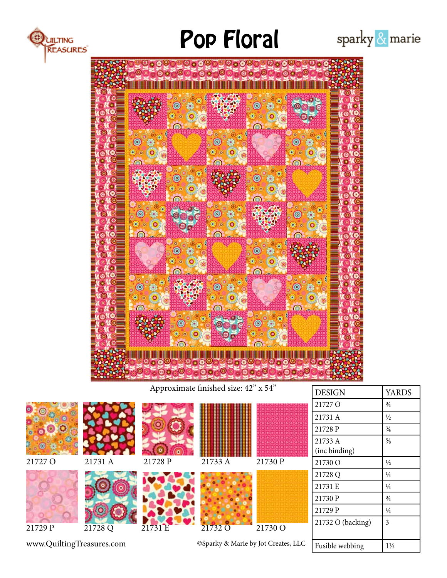

# Pop Floral





Approximate finished size: 42" x 54" DESIGN YARDS

|                           |         |         |         |                                     | 21727 O           | $\frac{3}{4}$  |
|---------------------------|---------|---------|---------|-------------------------------------|-------------------|----------------|
|                           |         |         |         |                                     | 21731 A           | $\frac{1}{2}$  |
|                           |         |         |         |                                     | 21728 P           | $\frac{3}{4}$  |
|                           |         |         |         |                                     | 21733 A           | $\frac{5}{8}$  |
|                           |         |         |         |                                     | (inc binding)     |                |
| 21727 O                   | 21731 A | 21728 P | 21733 A | 21730 P                             | 21730 O           | $\frac{1}{2}$  |
|                           |         |         |         |                                     | 21728 Q           | $\frac{1}{4}$  |
|                           |         |         |         |                                     | 21731 E           | $\frac{1}{4}$  |
|                           |         |         |         |                                     | 21730 P           | $\frac{3}{4}$  |
|                           |         |         |         |                                     | 21729 P           | $\frac{1}{4}$  |
| 21729 P                   | 21728 Q | 21731 E | 21732 O | 21730 O                             | 21732 O (backing) | 3              |
| www.QuiltingTreasures.com |         |         |         | ©Sparky & Marie by Jot Creates, LLC | Fusible webbing   | $1\frac{1}{2}$ |